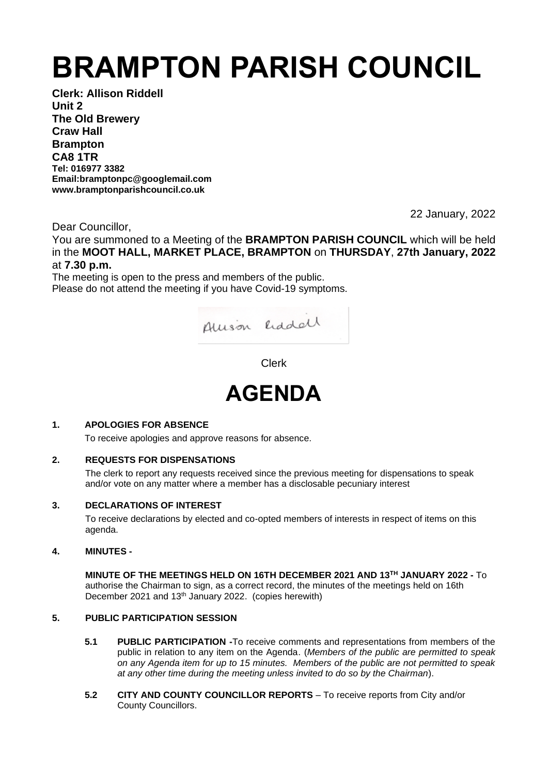# **BRAMPTON PARISH COUNCIL**

**Clerk: Allison Riddell Unit 2 The Old Brewery Craw Hall Brampton CA8 1TR Tel: 016977 3382 Email:bramptonpc@googlemail.com www.bramptonparishcouncil.co.uk**

22 January, 2022

Dear Councillor,

You are summoned to a Meeting of the **BRAMPTON PARISH COUNCIL** which will be held in the **MOOT HALL, MARKET PLACE, BRAMPTON** on **THURSDAY**, **27th January, 2022** at **7.30 p.m.**

The meeting is open to the press and members of the public. Please do not attend the meeting if you have Covid-19 symptoms.



Clerk



# **1. APOLOGIES FOR ABSENCE**

To receive apologies and approve reasons for absence.

# **2. REQUESTS FOR DISPENSATIONS**

The clerk to report any requests received since the previous meeting for dispensations to speak and/or vote on any matter where a member has a disclosable pecuniary interest

#### **3. DECLARATIONS OF INTEREST**

To receive declarations by elected and co-opted members of interests in respect of items on this agenda.

#### **4. MINUTES -**

**MINUTE OF THE MEETINGS HELD ON 16TH DECEMBER 2021 AND 13TH JANUARY 2022 -** To authorise the Chairman to sign, as a correct record, the minutes of the meetings held on 16th December 2021 and 13<sup>th</sup> January 2022. (copies herewith)

#### **5. PUBLIC PARTICIPATION SESSION**

- **5.1 PUBLIC PARTICIPATION -**To receive comments and representations from members of the public in relation to any item on the Agenda. (*Members of the public are permitted to speak on any Agenda item for up to 15 minutes. Members of the public are not permitted to speak at any other time during the meeting unless invited to do so by the Chairman*).
- **5.2 CITY AND COUNTY COUNCILLOR REPORTS** To receive reports from City and/or County Councillors.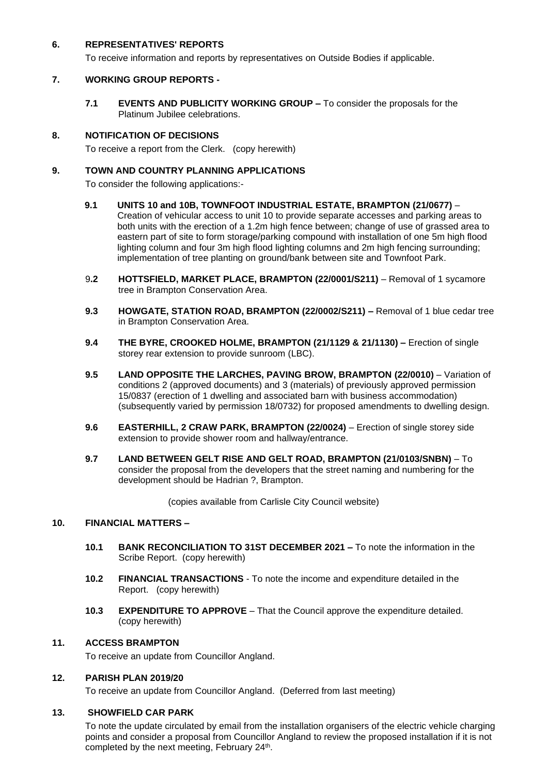#### **6. REPRESENTATIVES' REPORTS**

To receive information and reports by representatives on Outside Bodies if applicable.

# **7. WORKING GROUP REPORTS -**

**7.1 EVENTS AND PUBLICITY WORKING GROUP –** To consider the proposals for the Platinum Jubilee celebrations.

# **8. NOTIFICATION OF DECISIONS**

To receive a report from the Clerk. (copy herewith)

# **9. TOWN AND COUNTRY PLANNING APPLICATIONS**

To consider the following applications:-

- **9.1 UNITS 10 and 10B, TOWNFOOT INDUSTRIAL ESTATE, BRAMPTON (21/0677)** Creation of vehicular access to unit 10 to provide separate accesses and parking areas to both units with the erection of a 1.2m high fence between; change of use of grassed area to eastern part of site to form storage/parking compound with installation of one 5m high flood lighting column and four 3m high flood lighting columns and 2m high fencing surrounding; implementation of tree planting on ground/bank between site and Townfoot Park.
- 9**.2 HOTTSFIELD, MARKET PLACE, BRAMPTON (22/0001/S211)** Removal of 1 sycamore tree in Brampton Conservation Area.
- **9.3 HOWGATE, STATION ROAD, BRAMPTON (22/0002/S211) –** Removal of 1 blue cedar tree in Brampton Conservation Area.
- **9.4 THE BYRE, CROOKED HOLME, BRAMPTON (21/1129 & 21/1130) –** Erection of single storey rear extension to provide sunroom (LBC).
- **9.5 LAND OPPOSITE THE LARCHES, PAVING BROW, BRAMPTON (22/0010)** Variation of conditions 2 (approved documents) and 3 (materials) of previously approved permission 15/0837 (erection of 1 dwelling and associated barn with business accommodation) (subsequently varied by permission 18/0732) for proposed amendments to dwelling design.
- **9.6 EASTERHILL, 2 CRAW PARK, BRAMPTON (22/0024)** Erection of single storey side extension to provide shower room and hallway/entrance.
- **9.7 LAND BETWEEN GELT RISE AND GELT ROAD, BRAMPTON (21/0103/SNBN)** To consider the proposal from the developers that the street naming and numbering for the development should be Hadrian ?, Brampton.

(copies available from Carlisle City Council website)

#### **10. FINANCIAL MATTERS –**

- **10.1 BANK RECONCILIATION TO 31ST DECEMBER 2021 –** To note the information in the Scribe Report. (copy herewith)
- **10.2 FINANCIAL TRANSACTIONS** To note the income and expenditure detailed in the **Report.** (copy herewith)
- **10.3 EXPENDITURE TO APPROVE** That the Council approve the expenditure detailed. (copy herewith)

#### **11. ACCESS BRAMPTON**

To receive an update from Councillor Angland.

#### **12. PARISH PLAN 2019/20**

To receive an update from Councillor Angland. (Deferred from last meeting)

#### **13. SHOWFIELD CAR PARK**

To note the update circulated by email from the installation organisers of the electric vehicle charging points and consider a proposal from Councillor Angland to review the proposed installation if it is not completed by the next meeting, February 24<sup>th</sup>.